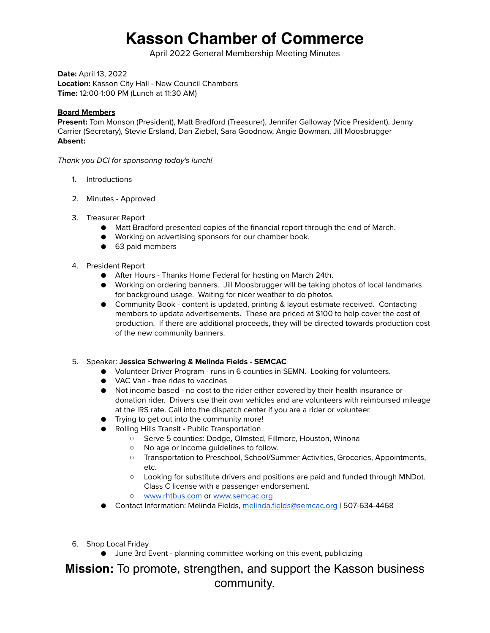# **Kasson Chamber of Commerce**

April 2022 General Membership Meeting Minutes

**Date:** April 13, 2022 **Location:** Kasson City Hall - New Council Chambers **Time:** 12:00-1:00 PM (Lunch at 11:30 AM)

## **Board Members**

**Present:** Tom Monson (President), Matt Bradford (Treasurer), Jennifer Galloway (Vice President), Jenny Carrier (Secretary), Stevie Ersland, Dan Ziebel, Sara Goodnow, Angie Bowman, Jill Moosbrugger **Absent:** 

*Thank you DCI for sponsoring today's lunch!*

- 1. Introductions
- 2. Minutes Approved
- 3. Treasurer Report
	- Matt Bradford presented copies of the financial report through the end of March.
	- Working on advertising sponsors for our chamber book.
	- 63 paid members

#### 4. President Report

- After Hours Thanks Home Federal for hosting on March 24th.
- Working on ordering banners. Jill Moosbrugger will be taking photos of local landmarks for background usage. Waiting for nicer weather to do photos.
- Community Book content is updated, printing & layout estimate received. Contacting members to update advertisements. These are priced at \$100 to help cover the cost of production. If there are additional proceeds, they will be directed towards production cost of the new community banners.

## 5. Speaker: **Jessica Schwering & Melinda Fields - SEMCAC**

- Volunteer Driver Program runs in 6 counties in SEMN. Looking for volunteers.
- VAC Van free rides to vaccines
- Not income based no cost to the rider either covered by their health insurance or donation rider. Drivers use their own vehicles and are volunteers with reimbursed mileage at the IRS rate. Call into the dispatch center if you are a rider or volunteer.
- Trying to get out into the community more!
- Rolling Hills Transit Public Transportation
	- Serve 5 counties: Dodge, Olmsted, Fillmore, Houston, Winona
	- No age or income guidelines to follow.
	- Transportation to Preschool, School/Summer Activities, Groceries, Appointments, etc.
	- Looking for substitute drivers and positions are paid and funded through MNDot. Class C license with a passenger endorsement.
	- [www.rhtbus.com](http://www.rhtbus.com) or [www.semcac.org](http://www.semcac.org)
- Contact Information: Melinda Fields, [melinda.fields@semcac.org](mailto:melinda.fields@semcac.org) | 507-634-4468
- 6. Shop Local Friday
	- June 3rd Event planning committee working on this event, publicizing

**Mission:** To promote, strengthen, and support the Kasson business community.